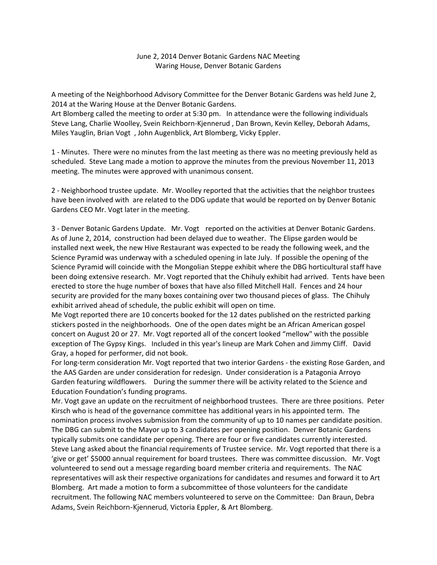## June 2, 2014 Denver Botanic Gardens NAC Meeting Waring House, Denver Botanic Gardens

A meeting of the Neighborhood Advisory Committee for the Denver Botanic Gardens was held June 2, 2014 at the Waring House at the Denver Botanic Gardens.

Art Blomberg called the meeting to order at 5:30 pm. In attendance were the following individuals Steve Lang, Charlie Woolley, Svein Reichborn‐Kjennerud , Dan Brown, Kevin Kelley, Deborah Adams, Miles Yauglin, Brian Vogt , John Augenblick, Art Blomberg, Vicky Eppler.

1 ‐ Minutes. There were no minutes from the last meeting as there was no meeting previously held as scheduled. Steve Lang made a motion to approve the minutes from the previous November 11, 2013 meeting. The minutes were approved with unanimous consent.

2 - Neighborhood trustee update. Mr. Woolley reported that the activities that the neighbor trustees have been involved with are related to the DDG update that would be reported on by Denver Botanic Gardens CEO Mr. Vogt later in the meeting.

3 ‐ Denver Botanic Gardens Update. Mr. Vogt reported on the activities at Denver Botanic Gardens. As of June 2, 2014, construction had been delayed due to weather. The Elipse garden would be installed next week, the new Hive Restaurant was expected to be ready the following week, and the Science Pyramid was underway with a scheduled opening in late July. If possible the opening of the Science Pyramid will coincide with the Mongolian Steppe exhibit where the DBG horticultural staff have been doing extensive research. Mr. Vogt reported that the Chihuly exhibit had arrived. Tents have been erected to store the huge number of boxes that have also filled Mitchell Hall. Fences and 24 hour security are provided for the many boxes containing over two thousand pieces of glass. The Chihuly exhibit arrived ahead of schedule, the public exhibit will open on time.

Me Vogt reported there are 10 concerts booked for the 12 dates published on the restricted parking stickers posted in the neighborhoods. One of the open dates might be an African American gospel concert on August 20 or 27. Mr. Vogt reported all of the concert looked "mellow" with the possible exception of The Gypsy Kings. Included in this year's lineup are Mark Cohen and Jimmy Cliff. David Gray, a hoped for performer, did not book.

For long‐term consideration Mr. Vogt reported that two interior Gardens ‐ the existing Rose Garden, and the AAS Garden are under consideration for redesign. Under consideration is a Patagonia Arroyo Garden featuring wildflowers. During the summer there will be activity related to the Science and Education Foundation's funding programs.

Mr. Vogt gave an update on the recruitment of neighborhood trustees. There are three positions. Peter Kirsch who is head of the governance committee has additional years in his appointed term. The nomination process involves submission from the community of up to 10 names per candidate position. The DBG can submit to the Mayor up to 3 candidates per opening position. Denver Botanic Gardens typically submits one candidate per opening. There are four or five candidates currently interested. Steve Lang asked about the financial requirements of Trustee service. Mr. Vogt reported that there is a 'give or get' \$5000 annual requirement for board trustees. There was committee discussion. Mr. Vogt volunteered to send out a message regarding board member criteria and requirements. The NAC representatives will ask their respective organizations for candidates and resumes and forward it to Art Blomberg. Art made a motion to form a subcommittee of those volunteers for the candidate recruitment. The following NAC members volunteered to serve on the Committee: Dan Braun, Debra Adams, Svein Reichborn-Kjennerud, Victoria Eppler, & Art Blomberg.